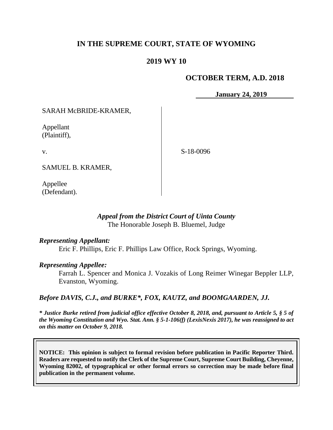# **IN THE SUPREME COURT, STATE OF WYOMING**

# **2019 WY 10**

### **OCTOBER TERM, A.D. 2018**

**January 24, 2019**

SARAH McBRIDE-KRAMER,

Appellant (Plaintiff),

v.

S-18-0096

SAMUEL B. KRAMER,

Appellee (Defendant).

## *Appeal from the District Court of Uinta County* The Honorable Joseph B. Bluemel, Judge

### *Representing Appellant:*

Eric F. Phillips, Eric F. Phillips Law Office, Rock Springs, Wyoming.

### *Representing Appellee:*

Farrah L. Spencer and Monica J. Vozakis of Long Reimer Winegar Beppler LLP, Evanston, Wyoming.

### *Before DAVIS, C.J., and BURKE\*, FOX, KAUTZ, and BOOMGAARDEN, JJ.*

*\* Justice Burke retired from judicial office effective October 8, 2018, and, pursuant to Article 5, § 5 of the Wyoming Constitution and Wyo. Stat. Ann. § 5-1-106(f) (LexisNexis 2017), he was reassigned to act on this matter on October 9, 2018.*

**NOTICE: This opinion is subject to formal revision before publication in Pacific Reporter Third. Readers are requested to notify the Clerk of the Supreme Court, Supreme Court Building, Cheyenne, Wyoming 82002, of typographical or other formal errors so correction may be made before final publication in the permanent volume.**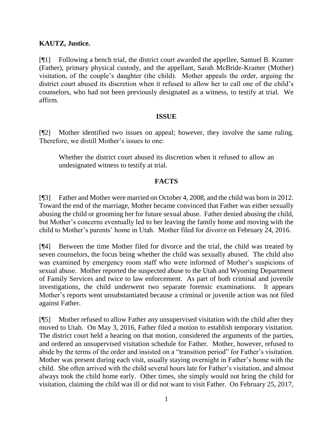## **KAUTZ, Justice.**

[¶1] Following a bench trial, the district court awarded the appellee, Samuel B. Kramer (Father), primary physical custody, and the appellant, Sarah McBride-Kramer (Mother) visitation, of the couple's daughter (the child). Mother appeals the order, arguing the district court abused its discretion when it refused to allow her to call one of the child's counselors, who had not been previously designated as a witness, to testify at trial. We affirm.

### **ISSUE**

[¶2] Mother identified two issues on appeal; however, they involve the same ruling. Therefore, we distill Mother's issues to one:

Whether the district court abused its discretion when it refused to allow an undesignated witness to testify at trial.

### **FACTS**

[¶3] Father and Mother were married on October 4, 2008, and the child was born in 2012. Toward the end of the marriage, Mother became convinced that Father was either sexually abusing the child or grooming her for future sexual abuse. Father denied abusing the child, but Mother's concerns eventually led to her leaving the family home and moving with the child to Mother's parents' home in Utah. Mother filed for divorce on February 24, 2016.

[¶4] Between the time Mother filed for divorce and the trial, the child was treated by seven counselors, the focus being whether the child was sexually abused. The child also was examined by emergency room staff who were informed of Mother's suspicions of sexual abuse. Mother reported the suspected abuse to the Utah and Wyoming Department of Family Services and twice to law enforcement. As part of both criminal and juvenile investigations, the child underwent two separate forensic examinations. It appears Mother's reports went unsubstantiated because a criminal or juvenile action was not filed against Father.

[¶5] Mother refused to allow Father any unsupervised visitation with the child after they moved to Utah. On May 3, 2016, Father filed a motion to establish temporary visitation. The district court held a hearing on that motion, considered the arguments of the parties, and ordered an unsupervised visitation schedule for Father. Mother, however, refused to abide by the terms of the order and insisted on a "transition period" for Father's visitation. Mother was present during each visit, usually staying overnight in Father's home with the child. She often arrived with the child several hours late for Father's visitation, and almost always took the child home early. Other times, she simply would not bring the child for visitation, claiming the child was ill or did not want to visit Father. On February 25, 2017,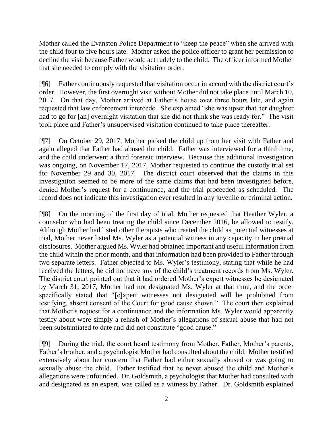Mother called the Evanston Police Department to "keep the peace" when she arrived with the child four to five hours late. Mother asked the police officer to grant her permission to decline the visit because Father would act rudely to the child. The officer informed Mother that she needed to comply with the visitation order.

[¶6] Father continuously requested that visitation occur in accord with the district court's order. However, the first overnight visit without Mother did not take place until March 10, 2017. On that day, Mother arrived at Father's house over three hours late, and again requested that law enforcement intercede. She explained "she was upset that her daughter had to go for [an] overnight visitation that she did not think she was ready for." The visit took place and Father's unsupervised visitation continued to take place thereafter.

[¶7] On October 29, 2017, Mother picked the child up from her visit with Father and again alleged that Father had abused the child. Father was interviewed for a third time, and the child underwent a third forensic interview. Because this additional investigation was ongoing, on November 17, 2017, Mother requested to continue the custody trial set for November 29 and 30, 2017. The district court observed that the claims in this investigation seemed to be more of the same claims that had been investigated before, denied Mother's request for a continuance, and the trial proceeded as scheduled. The record does not indicate this investigation ever resulted in any juvenile or criminal action.

[¶8] On the morning of the first day of trial, Mother requested that Heather Wyler, a counselor who had been treating the child since December 2016, be allowed to testify. Although Mother had listed other therapists who treated the child as potential witnesses at trial, Mother never listed Ms. Wyler as a potential witness in any capacity in her pretrial disclosures. Mother argued Ms. Wyler had obtained important and useful information from the child within the prior month, and that information had been provided to Father through two separate letters. Father objected to Ms. Wyler's testimony, stating that while he had received the letters, he did not have any of the child's treatment records from Ms. Wyler. The district court pointed out that it had ordered Mother's expert witnesses be designated by March 31, 2017, Mother had not designated Ms. Wyler at that time, and the order specifically stated that "[e]xpert witnesses not designated will be prohibited from testifying, absent consent of the Court for good cause shown." The court then explained that Mother's request for a continuance and the information Ms. Wyler would apparently testify about were simply a rehash of Mother's allegations of sexual abuse that had not been substantiated to date and did not constitute "good cause."

[¶9] During the trial, the court heard testimony from Mother, Father, Mother's parents, Father's brother, and a psychologist Mother had consulted about the child. Mother testified extensively about her concern that Father had either sexually abused or was going to sexually abuse the child. Father testified that he never abused the child and Mother's allegations were unfounded. Dr. Goldsmith, a psychologist that Mother had consulted with and designated as an expert, was called as a witness by Father. Dr. Goldsmith explained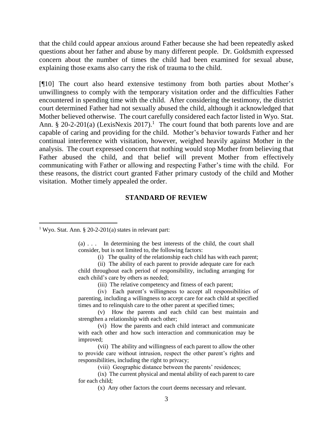that the child could appear anxious around Father because she had been repeatedly asked questions about her father and abuse by many different people. Dr. Goldsmith expressed concern about the number of times the child had been examined for sexual abuse, explaining those exams also carry the risk of trauma to the child.

[¶10] The court also heard extensive testimony from both parties about Mother's unwillingness to comply with the temporary visitation order and the difficulties Father encountered in spending time with the child. After considering the testimony, the district court determined Father had not sexually abused the child, although it acknowledged that Mother believed otherwise. The court carefully considered each factor listed in Wyo. Stat. Ann. § 20-2-201(a) (LexisNexis 2017).<sup>1</sup> The court found that both parents love and are capable of caring and providing for the child. Mother's behavior towards Father and her continual interference with visitation, however, weighed heavily against Mother in the analysis. The court expressed concern that nothing would stop Mother from believing that Father abused the child, and that belief will prevent Mother from effectively communicating with Father or allowing and respecting Father's time with the child. For these reasons, the district court granted Father primary custody of the child and Mother visitation. Mother timely appealed the order.

#### **STANDARD OF REVIEW**

(a) . . . In determining the best interests of the child, the court shall consider, but is not limited to, the following factors:

(i) The quality of the relationship each child has with each parent;

(ii) The ability of each parent to provide adequate care for each child throughout each period of responsibility, including arranging for each child's care by others as needed;

(iii) The relative competency and fitness of each parent;

(iv) Each parent's willingness to accept all responsibilities of parenting, including a willingness to accept care for each child at specified times and to relinquish care to the other parent at specified times;

(v) How the parents and each child can best maintain and strengthen a relationship with each other;

(vi) How the parents and each child interact and communicate with each other and how such interaction and communication may be improved;

(vii) The ability and willingness of each parent to allow the other to provide care without intrusion, respect the other parent's rights and responsibilities, including the right to privacy;

(viii) Geographic distance between the parents' residences;

(ix) The current physical and mental ability of each parent to care for each child;

(x) Any other factors the court deems necessary and relevant.

<sup>&</sup>lt;sup>1</sup> Wyo. Stat. Ann. § 20-2-201(a) states in relevant part: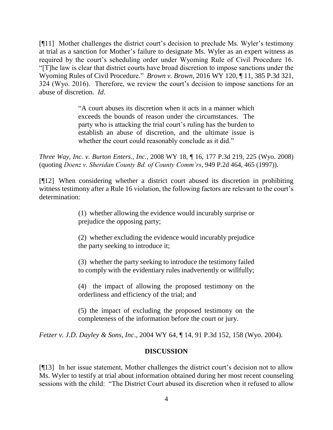[¶11] Mother challenges the district court's decision to preclude Ms. Wyler's testimony at trial as a sanction for Mother's failure to designate Ms. Wyler as an expert witness as required by the court's scheduling order under Wyoming Rule of Civil Procedure 16. "[T]he law is clear that district courts have broad discretion to impose sanctions under the Wyoming Rules of Civil Procedure." *Brown v. Brown*, 2016 WY 120, ¶ 11, 385 P.3d 321, 324 (Wyo. 2016). Therefore, we review the court's decision to impose sanctions for an abuse of discretion. *Id*.

> "A court abuses its discretion when it acts in a manner which exceeds the bounds of reason under the circumstances. The party who is attacking the trial court's ruling has the burden to establish an abuse of discretion, and the ultimate issue is whether the court could reasonably conclude as it did."

*Three Way, Inc. v. Burton Enters., Inc.*, 2008 WY 18, ¶ 16, 177 P.3d 219, 225 (Wyo. 2008) (quoting *Doenz v. Sheridan County Bd. of County Comm'rs*, 949 P.2d 464, 465 (1997)).

[¶12] When considering whether a district court abused its discretion in prohibiting witness testimony after a Rule 16 violation, the following factors are relevant to the court's determination:

> (1) whether allowing the evidence would incurably surprise or prejudice the opposing party;

> (2) whether excluding the evidence would incurably prejudice the party seeking to introduce it;

> (3) whether the party seeking to introduce the testimony failed to comply with the evidentiary rules inadvertently or willfully;

> (4) the impact of allowing the proposed testimony on the orderliness and efficiency of the trial; and

> (5) the impact of excluding the proposed testimony on the completeness of the information before the court or jury.

*Fetzer v. J.D. Dayley & Sons, Inc*., 2004 WY 64, ¶ 14, 91 P.3d 152, 158 (Wyo. 2004).

## **DISCUSSION**

[¶13] In her issue statement, Mother challenges the district court's decision not to allow Ms. Wyler to testify at trial about information obtained during her most recent counseling sessions with the child: "The District Court abused its discretion when it refused to allow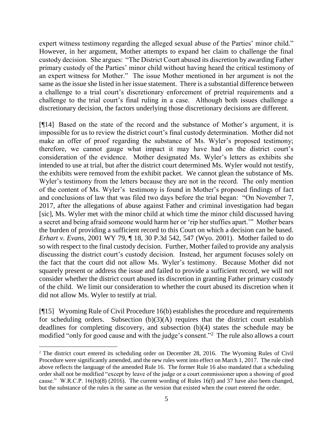expert witness testimony regarding the alleged sexual abuse of the Parties' minor child." However, in her argument, Mother attempts to expand her claim to challenge the final custody decision. She argues: "The District Court abused its discretion by awarding Father primary custody of the Parties' minor child without having heard the critical testimony of an expert witness for Mother." The issue Mother mentioned in her argument is not the same as the issue she listed in her issue statement. There is a substantial difference between a challenge to a trial court's discretionary enforcement of pretrial requirements and a challenge to the trial court's final ruling in a case. Although both issues challenge a discretionary decision, the factors underlying those discretionary decisions are different.

[¶14] Based on the state of the record and the substance of Mother's argument, it is impossible for us to review the district court's final custody determination. Mother did not make an offer of proof regarding the substance of Ms. Wyler's proposed testimony; therefore, we cannot gauge what impact it may have had on the district court's consideration of the evidence. Mother designated Ms. Wyler's letters as exhibits she intended to use at trial, but after the district court determined Ms. Wyler would not testify, the exhibits were removed from the exhibit packet. We cannot glean the substance of Ms. Wyler's testimony from the letters because they are not in the record. The only mention of the content of Ms. Wyler's testimony is found in Mother's proposed findings of fact and conclusions of law that was filed two days before the trial began: "On November 7, 2017, after the allegations of abuse against Father and criminal investigation had began [sic], Ms. Wyler met with the minor child at which time the minor child discussed having a secret and being afraid someone would harm her or 'rip her stuffies apart.'" Mother bears the burden of providing a sufficient record to this Court on which a decision can be based. *Erhart v. Evans*, 2001 WY 79, ¶ 18, 30 P.3d 542, 547 (Wyo. 2001). Mother failed to do so with respect to the final custody decision. Further, Mother failed to provide any analysis discussing the district court's custody decision. Instead, her argument focuses solely on the fact that the court did not allow Ms. Wyler's testimony. Because Mother did not squarely present or address the issue and failed to provide a sufficient record, we will not consider whether the district court abused its discretion in granting Father primary custody of the child. We limit our consideration to whether the court abused its discretion when it did not allow Ms. Wyler to testify at trial.

[¶15] Wyoming Rule of Civil Procedure 16(b) establishes the procedure and requirements for scheduling orders. Subsection  $(b)(3)(A)$  requires that the district court establish deadlines for completing discovery, and subsection (b)(4) states the schedule may be modified "only for good cause and with the judge's consent."<sup>2</sup> The rule also allows a court

 $\overline{a}$ 

<sup>&</sup>lt;sup>2</sup> The district court entered its scheduling order on December 28, 2016. The Wyoming Rules of Civil Procedure were significantly amended, and the new rules went into effect on March 1, 2017. The rule cited above reflects the language of the amended Rule 16. The former Rule 16 also mandated that a scheduling order shall not be modified "except by leave of the judge or a court commissioner upon a showing of good cause." W.R.C.P. 16((b)(8) (2016). The current wording of Rules 16(f) and 37 have also been changed, but the substance of the rules is the same as the version that existed when the court entered the order.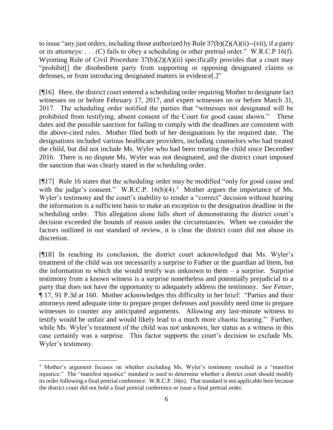to issue "any just orders, including those authorized by Rule 37(b)(2)(A)(ii)--(vii), if a party or its attorneys: . . . (C) fails to obey a scheduling or other pretrial order." W.R.C.P 16(f). Wyoming Rule of Civil Procedure 37(b)(2)(A)(ii) specifically provides that a court may "prohibit[] the disobedient party from supporting or opposing designated claims or defenses, or from introducing designated matters in evidence[.]"

[¶16] Here, the district court entered a scheduling order requiring Mother to designate fact witnesses on or before February 17, 2017, and expert witnesses on or before March 31, 2017. The scheduling order notified the parties that "witnesses not designated will be prohibited from testifying, absent consent of the Court for good cause shown." These dates and the possible sanction for failing to comply with the deadlines are consistent with the above-cited rules. Mother filed both of her designations by the required date. The designations included various healthcare providers, including counselors who had treated the child, but did not include Ms. Wyler who had been treating the child since December 2016. There is no dispute Ms. Wyler was not designated, and the district court imposed the sanction that was clearly stated in the scheduling order.

[¶17] Rule 16 states that the scheduling order may be modified "only for good cause and with the judge's consent." W.R.C.P.  $16(b)(4)$ .<sup>3</sup> Mother argues the importance of Ms. Wyler's testimony and the court's inability to render a "correct" decision without hearing the information is a sufficient basis to make an exception to the designation deadline in the scheduling order. This allegation alone falls short of demonstrating the district court's decision exceeded the bounds of reason under the circumstances. When we consider the factors outlined in our standard of review, it is clear the district court did not abuse its discretion.

[¶18] In reaching its conclusion, the district court acknowledged that Ms. Wyler's treatment of the child was not necessarily a surprise to Father or the guardian ad litem, but the information to which she would testify was unknown to them  $-$  a surprise. Surprise testimony from a known witness is a surprise nonetheless and potentially prejudicial to a party that does not have the opportunity to adequately address the testimony. *See Fetzer*, ¶ 17, 91 P.3d at 160. Mother acknowledges this difficulty in her brief: "Parties and their attorneys need adequate time to prepare proper defenses and possibly need time to prepare witnesses to counter any anticipated arguments. Allowing any last-minute witness to testify would be unfair and would likely lead to a much more chaotic hearing." Further, while Ms. Wyler's treatment of the child was not unknown, her status as a witness in this case certainly was a surprise. This factor supports the court's decision to exclude Ms. Wyler's testimony.

 <sup>3</sup> Mother's argument focuses on whether excluding Ms. Wyler's testimony resulted in a "manifest injustice." The "manifest injustice" standard is used to determine whether a district court should modify its order following a final pretrial conference. W.R.C.P. 16(e). That standard is not applicable here because the district court did not hold a final pretrial conference or issue a final pretrial order.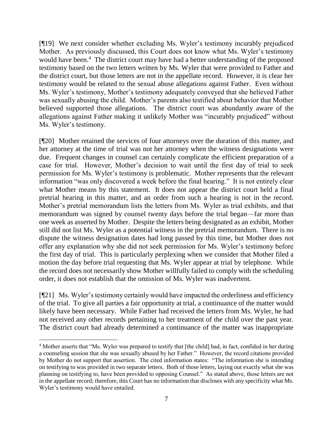[¶19] We next consider whether excluding Ms. Wyler's testimony incurably prejudiced Mother. As previously discussed, this Court does not know what Ms. Wyler's testimony would have been.<sup>4</sup> The district court may have had a better understanding of the proposed testimony based on the two letters written by Ms. Wyler that were provided to Father and the district court, but those letters are not in the appellate record. However, it is clear her testimony would be related to the sexual abuse allegations against Father. Even without Ms. Wyler's testimony, Mother's testimony adequately conveyed that she believed Father was sexually abusing the child. Mother's parents also testified about behavior that Mother believed supported those allegations. The district court was abundantly aware of the allegations against Father making it unlikely Mother was "incurably prejudiced" without Ms. Wyler's testimony.

[¶20] Mother retained the services of four attorneys over the duration of this matter, and her attorney at the time of trial was not her attorney when the witness designations were due. Frequent changes in counsel can certainly complicate the efficient preparation of a case for trial. However, Mother's decision to wait until the first day of trial to seek permission for Ms. Wyler's testimony is problematic. Mother represents that the relevant information "was only discovered a week before the final hearing." It is not entirely clear what Mother means by this statement. It does not appear the district court held a final pretrial hearing in this matter, and an order from such a hearing is not in the record. Mother's pretrial memorandum lists the letters from Ms. Wyler as trial exhibits, and that memorandum was signed by counsel twenty days before the trial began—far more than one week as asserted by Mother. Despite the letters being designated as an exhibit, Mother still did not list Ms. Wyler as a potential witness in the pretrial memorandum. There is no dispute the witness designation dates had long passed by this time, but Mother does not offer any explanation why she did not seek permission for Ms. Wyler's testimony before the first day of trial. This is particularly perplexing when we consider that Mother filed a motion the day before trial requesting that Ms. Wyler appear at trial by telephone. While the record does not necessarily show Mother willfully failed to comply with the scheduling order, it does not establish that the omission of Ms. Wyler was inadvertent.

[¶21] Ms. Wyler's testimony certainly would have impacted the orderliness and efficiency of the trial. To give all parties a fair opportunity at trial, a continuance of the matter would likely have been necessary. While Father had received the letters from Ms. Wyler, he had not received any other records pertaining to her treatment of the child over the past year. The district court had already determined a continuance of the matter was inappropriate

 $\overline{a}$ 

<sup>4</sup> Mother asserts that "Ms. Wyler was prepared to testify that [the child] had, in fact, confided in her during a counseling session that she was sexually abused by her Father." However, the record citations provided by Mother do not support that assertion. The cited information states: "The information she is intending on testifying to was provided in two separate letters. Both of those letters, laying out exactly what she was planning on testifying to, have been provided to opposing Counsel." As stated above, those letters are not in the appellate record; therefore, this Court has no information that discloses with any specificity what Ms. Wyler's testimony would have entailed.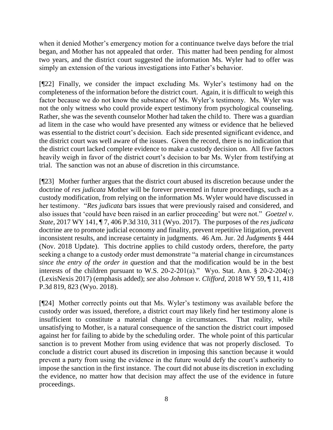when it denied Mother's emergency motion for a continuance twelve days before the trial began, and Mother has not appealed that order. This matter had been pending for almost two years, and the district court suggested the information Ms. Wyler had to offer was simply an extension of the various investigations into Father's behavior.

[¶22] Finally, we consider the impact excluding Ms. Wyler's testimony had on the completeness of the information before the district court. Again, it is difficult to weigh this factor because we do not know the substance of Ms. Wyler's testimony. Ms. Wyler was not the only witness who could provide expert testimony from psychological counseling. Rather, she was the seventh counselor Mother had taken the child to. There was a guardian ad litem in the case who would have presented any witness or evidence that he believed was essential to the district court's decision. Each side presented significant evidence, and the district court was well aware of the issues. Given the record, there is no indication that the district court lacked complete evidence to make a custody decision on. All five factors heavily weigh in favor of the district court's decision to bar Ms. Wyler from testifying at trial. The sanction was not an abuse of discretion in this circumstance.

[¶23] Mother further argues that the district court abused its discretion because under the doctrine of *res judicata* Mother will be forever prevented in future proceedings, such as a custody modification, from relying on the information Ms. Wyler would have discussed in her testimony. "*Res judicata* bars issues that were previously raised and considered, and also issues that 'could have been raised in an earlier proceeding' but were not." *Goetzel v. State*, 2017 WY 141, ¶ 7, 406 P.3d 310, 311 (Wyo. 2017). The purposes of the *res judicata* doctrine are to promote judicial economy and finality, prevent repetitive litigation, prevent inconsistent results, and increase certainty in judgments. 46 Am. Jur. 2d *Judgments* § 444 (Nov. 2018 Update). This doctrine applies to child custody orders, therefore, the party seeking a change to a custody order must demonstrate "a material change in circumstances *since the entry of the order in question* and that the modification would be in the best interests of the children pursuant to W.S. 20-2-201(a)." Wyo. Stat. Ann.  $\S$  20-2-204(c) (LexisNexis 2017) (emphasis added); *see* also *Johnson v. Clifford*, 2018 WY 59, ¶ 11, 418 P.3d 819, 823 (Wyo. 2018).

[¶24] Mother correctly points out that Ms. Wyler's testimony was available before the custody order was issued, therefore, a district court may likely find her testimony alone is insufficient to constitute a material change in circumstances. That reality, while unsatisfying to Mother, is a natural consequence of the sanction the district court imposed against her for failing to abide by the scheduling order. The whole point of this particular sanction is to prevent Mother from using evidence that was not properly disclosed. To conclude a district court abused its discretion in imposing this sanction because it would prevent a party from using the evidence in the future would defy the court's authority to impose the sanction in the first instance. The court did not abuse its discretion in excluding the evidence, no matter how that decision may affect the use of the evidence in future proceedings.